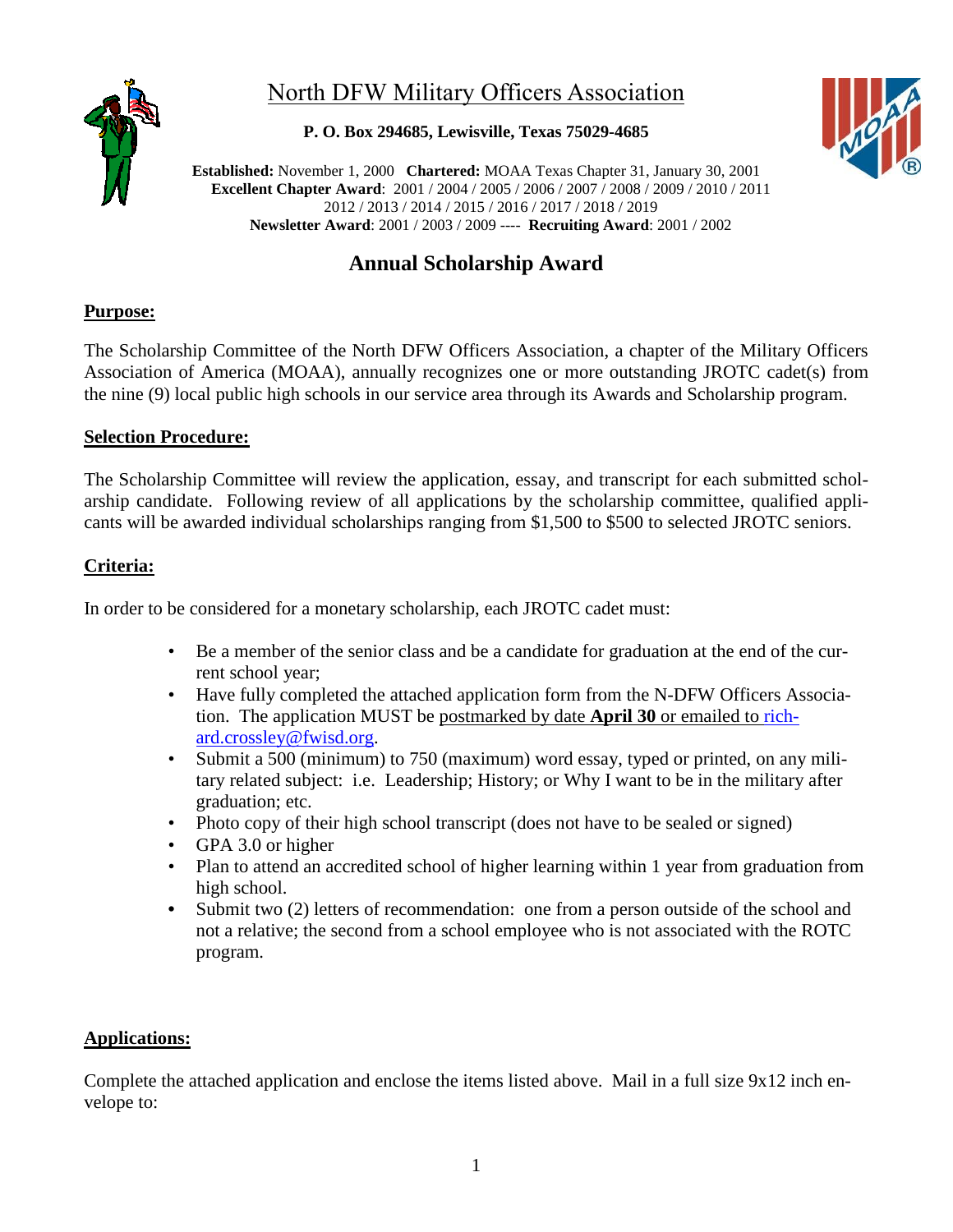

## North DFW Military Officers Association

**P. O. Box 294685, Lewisville, Texas 75029-4685**



**Established:** November 1, 2000 **Chartered:** MOAA Texas Chapter 31, January 30, 2001 **Excellent Chapter Award**: 2001 / 2004 / 2005 / 2006 / 2007 / 2008 / 2009 / 2010 / 2011 2012 / 2013 / 2014 / 2015 / 2016 / 2017 / 2018 / 2019 **Newsletter Award**: 2001 / 2003 / 2009 ---- **Recruiting Award**: 2001 / 2002

### **Annual Scholarship Award**

### **Purpose:**

The Scholarship Committee of the North DFW Officers Association, a chapter of the Military Officers Association of America (MOAA), annually recognizes one or more outstanding JROTC cadet(s) from the nine (9) local public high schools in our service area through its Awards and Scholarship program.

#### **Selection Procedure:**

The Scholarship Committee will review the application, essay, and transcript for each submitted scholarship candidate. Following review of all applications by the scholarship committee, qualified applicants will be awarded individual scholarships ranging from \$1,500 to \$500 to selected JROTC seniors.

#### **Criteria:**

In order to be considered for a monetary scholarship, each JROTC cadet must:

- Be a member of the senior class and be a candidate for graduation at the end of the current school year;
- Have fully completed the attached application form from the N-DFW Officers Association. The application MUST be postmarked by date **April 30** or emailed to [rich](mailto:richard.crossley@fwisd.org)[ard.crossley@fwisd.org.](mailto:richard.crossley@fwisd.org)
- Submit a 500 (minimum) to 750 (maximum) word essay, typed or printed, on any military related subject: i.e. Leadership; History; or Why I want to be in the military after graduation; etc.
- Photo copy of their high school transcript (does not have to be sealed or signed)
- GPA 3.0 or higher
- Plan to attend an accredited school of higher learning within 1 year from graduation from high school.
- Submit two (2) letters of recommendation: one from a person outside of the school and not a relative; the second from a school employee who is not associated with the ROTC program.

#### **Applications:**

Complete the attached application and enclose the items listed above. Mail in a full size 9x12 inch envelope to: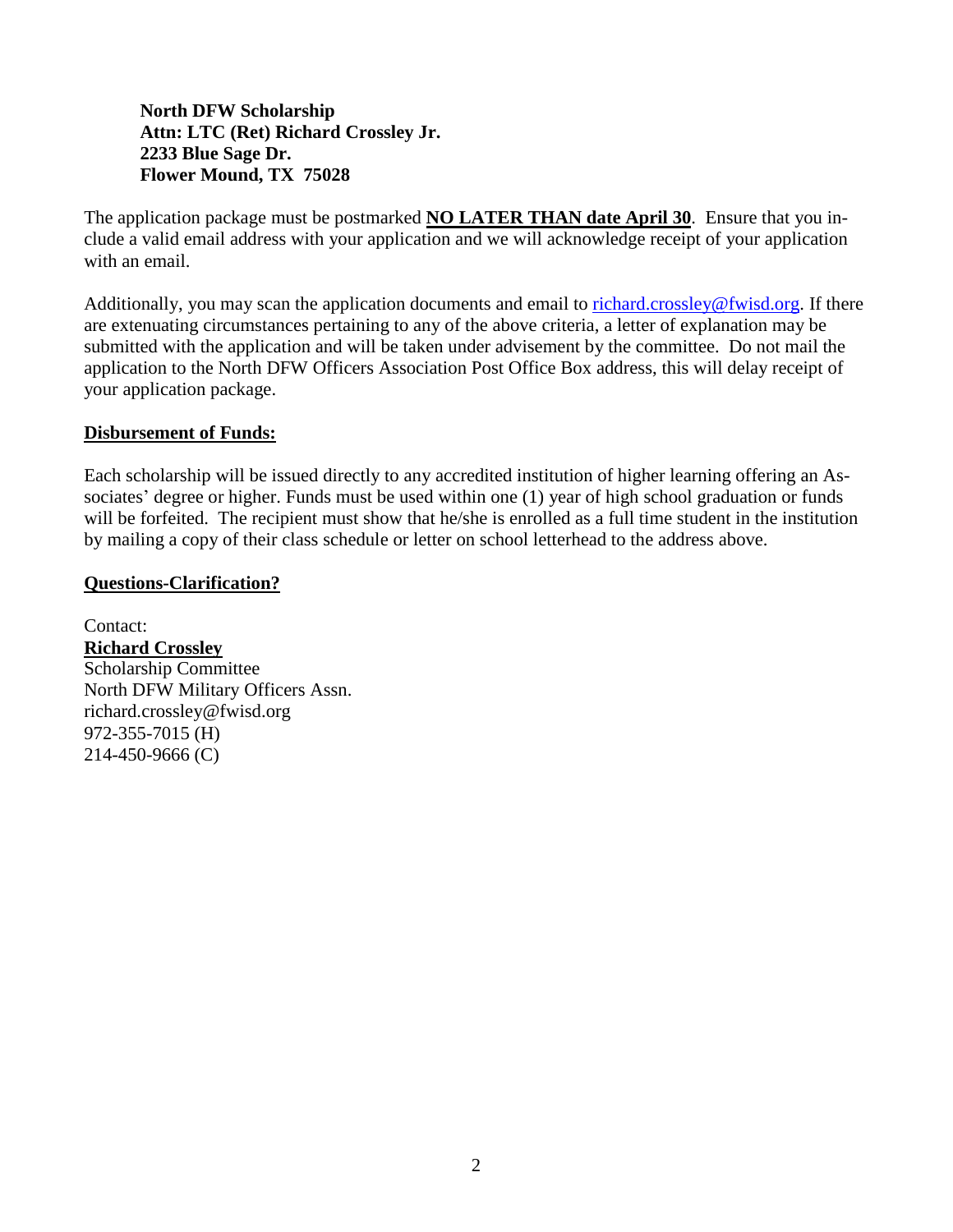**North DFW Scholarship Attn: LTC (Ret) Richard Crossley Jr. 2233 Blue Sage Dr. Flower Mound, TX 75028**

The application package must be postmarked **NO LATER THAN date April 30**. Ensure that you include a valid email address with your application and we will acknowledge receipt of your application with an email.

Additionally, you may scan the application documents and email to [richard.crossley@fwisd.org.](mailto:richard.crossley@fwisd.org) If there are extenuating circumstances pertaining to any of the above criteria, a letter of explanation may be submitted with the application and will be taken under advisement by the committee. Do not mail the application to the North DFW Officers Association Post Office Box address, this will delay receipt of your application package.

#### **Disbursement of Funds:**

Each scholarship will be issued directly to any accredited institution of higher learning offering an Associates' degree or higher. Funds must be used within one (1) year of high school graduation or funds will be forfeited. The recipient must show that he/she is enrolled as a full time student in the institution by mailing a copy of their class schedule or letter on school letterhead to the address above.

#### **Questions-Clarification?**

Contact: **Richard Crossley** Scholarship Committee North DFW Military Officers Assn. richard.crossley@fwisd.org 972-355-7015 (H) 214-450-9666 (C)